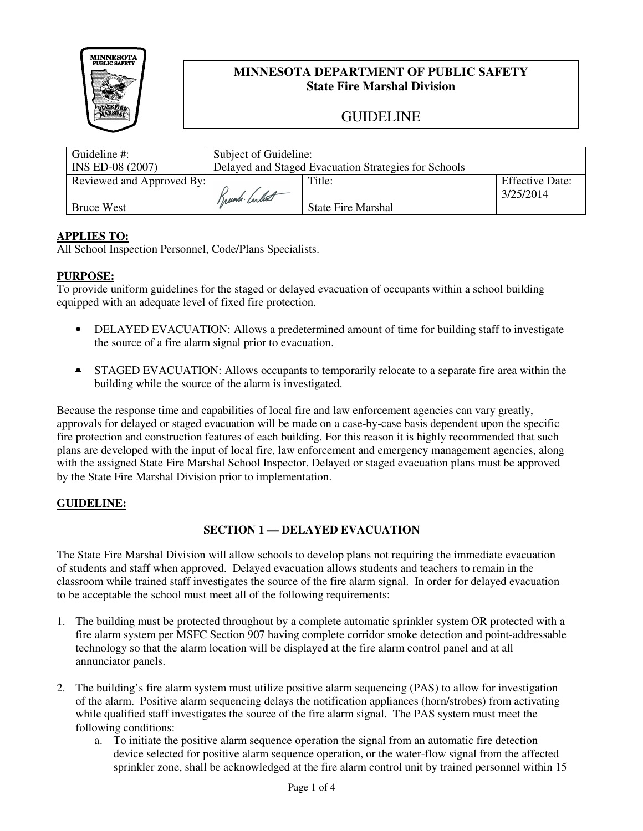

## **MINNESOTA DEPARTMENT OF PUBLIC SAFETY State Fire Marshal Division**

# GUIDELINE

| Guideline $\#$ :          | Subject of Guideline:                                |                           |                        |
|---------------------------|------------------------------------------------------|---------------------------|------------------------|
| INS ED-08 (2007)          | Delayed and Staged Evacuation Strategies for Schools |                           |                        |
| Reviewed and Approved By: |                                                      | Title:                    | <b>Effective Date:</b> |
|                           | Trunk Culot                                          |                           | 3/25/2014              |
| <b>Bruce West</b>         |                                                      | <b>State Fire Marshal</b> |                        |

### **APPLIES TO:**

All School Inspection Personnel, Code/Plans Specialists.

#### **PURPOSE:**

To provide uniform guidelines for the staged or delayed evacuation of occupants within a school building equipped with an adequate level of fixed fire protection.

- DELAYED EVACUATION: Allows a predetermined amount of time for building staff to investigate the source of a fire alarm signal prior to evacuation.
- STAGED EVACUATION: Allows occupants to temporarily relocate to a separate fire area within the building while the source of the alarm is investigated.

Because the response time and capabilities of local fire and law enforcement agencies can vary greatly, approvals for delayed or staged evacuation will be made on a case-by-case basis dependent upon the specific fire protection and construction features of each building. For this reason it is highly recommended that such plans are developed with the input of local fire, law enforcement and emergency management agencies, along with the assigned State Fire Marshal School Inspector. Delayed or staged evacuation plans must be approved by the State Fire Marshal Division prior to implementation.

#### **GUIDELINE:**

#### **SECTION 1 — DELAYED EVACUATION**

The State Fire Marshal Division will allow schools to develop plans not requiring the immediate evacuation of students and staff when approved. Delayed evacuation allows students and teachers to remain in the classroom while trained staff investigates the source of the fire alarm signal. In order for delayed evacuation to be acceptable the school must meet all of the following requirements:

- 1. The building must be protected throughout by a complete automatic sprinkler system OR protected with a fire alarm system per MSFC Section 907 having complete corridor smoke detection and point-addressable technology so that the alarm location will be displayed at the fire alarm control panel and at all annunciator panels.
- 2. The building's fire alarm system must utilize positive alarm sequencing (PAS) to allow for investigation of the alarm. Positive alarm sequencing delays the notification appliances (horn/strobes) from activating while qualified staff investigates the source of the fire alarm signal. The PAS system must meet the following conditions:
	- a. To initiate the positive alarm sequence operation the signal from an automatic fire detection device selected for positive alarm sequence operation, or the water-flow signal from the affected sprinkler zone, shall be acknowledged at the fire alarm control unit by trained personnel within 15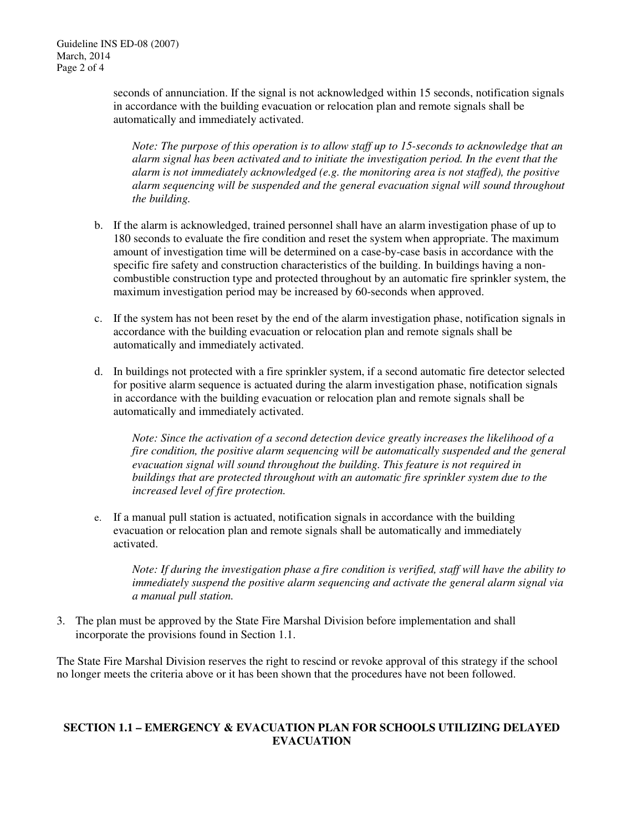seconds of annunciation. If the signal is not acknowledged within 15 seconds, notification signals in accordance with the building evacuation or relocation plan and remote signals shall be automatically and immediately activated.

*Note: The purpose of this operation is to allow staff up to 15-seconds to acknowledge that an alarm signal has been activated and to initiate the investigation period. In the event that the alarm is not immediately acknowledged (e.g. the monitoring area is not staffed), the positive alarm sequencing will be suspended and the general evacuation signal will sound throughout the building.* 

- b. If the alarm is acknowledged, trained personnel shall have an alarm investigation phase of up to 180 seconds to evaluate the fire condition and reset the system when appropriate. The maximum amount of investigation time will be determined on a case-by-case basis in accordance with the specific fire safety and construction characteristics of the building. In buildings having a noncombustible construction type and protected throughout by an automatic fire sprinkler system, the maximum investigation period may be increased by 60-seconds when approved.
- c. If the system has not been reset by the end of the alarm investigation phase, notification signals in accordance with the building evacuation or relocation plan and remote signals shall be automatically and immediately activated.
- d. In buildings not protected with a fire sprinkler system, if a second automatic fire detector selected for positive alarm sequence is actuated during the alarm investigation phase, notification signals in accordance with the building evacuation or relocation plan and remote signals shall be automatically and immediately activated.

*Note: Since the activation of a second detection device greatly increases the likelihood of a fire condition, the positive alarm sequencing will be automatically suspended and the general evacuation signal will sound throughout the building. This feature is not required in buildings that are protected throughout with an automatic fire sprinkler system due to the increased level of fire protection.*

e. If a manual pull station is actuated, notification signals in accordance with the building evacuation or relocation plan and remote signals shall be automatically and immediately activated.

*Note: If during the investigation phase a fire condition is verified, staff will have the ability to immediately suspend the positive alarm sequencing and activate the general alarm signal via a manual pull station.* 

3. The plan must be approved by the State Fire Marshal Division before implementation and shall incorporate the provisions found in Section 1.1.

The State Fire Marshal Division reserves the right to rescind or revoke approval of this strategy if the school no longer meets the criteria above or it has been shown that the procedures have not been followed.

#### **SECTION 1.1 – EMERGENCY & EVACUATION PLAN FOR SCHOOLS UTILIZING DELAYED EVACUATION**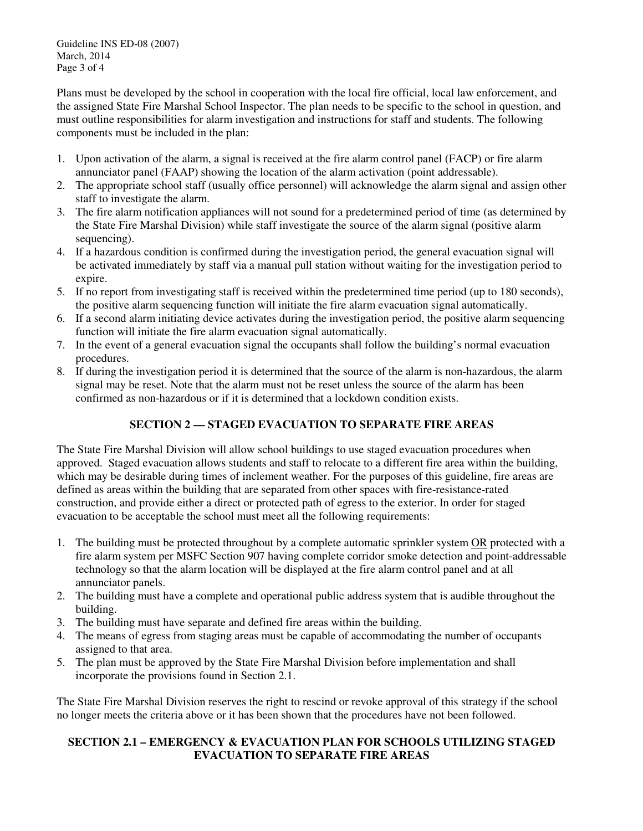Guideline INS ED-08 (2007) March, 2014 Page 3 of 4

Plans must be developed by the school in cooperation with the local fire official, local law enforcement, and the assigned State Fire Marshal School Inspector. The plan needs to be specific to the school in question, and must outline responsibilities for alarm investigation and instructions for staff and students. The following components must be included in the plan:

- 1. Upon activation of the alarm, a signal is received at the fire alarm control panel (FACP) or fire alarm annunciator panel (FAAP) showing the location of the alarm activation (point addressable).
- 2. The appropriate school staff (usually office personnel) will acknowledge the alarm signal and assign other staff to investigate the alarm.
- 3. The fire alarm notification appliances will not sound for a predetermined period of time (as determined by the State Fire Marshal Division) while staff investigate the source of the alarm signal (positive alarm sequencing).
- 4. If a hazardous condition is confirmed during the investigation period, the general evacuation signal will be activated immediately by staff via a manual pull station without waiting for the investigation period to expire.
- 5. If no report from investigating staff is received within the predetermined time period (up to 180 seconds), the positive alarm sequencing function will initiate the fire alarm evacuation signal automatically.
- 6. If a second alarm initiating device activates during the investigation period, the positive alarm sequencing function will initiate the fire alarm evacuation signal automatically.
- 7. In the event of a general evacuation signal the occupants shall follow the building's normal evacuation procedures.
- 8. If during the investigation period it is determined that the source of the alarm is non-hazardous, the alarm signal may be reset. Note that the alarm must not be reset unless the source of the alarm has been confirmed as non-hazardous or if it is determined that a lockdown condition exists.

## **SECTION 2 — STAGED EVACUATION TO SEPARATE FIRE AREAS**

The State Fire Marshal Division will allow school buildings to use staged evacuation procedures when approved. Staged evacuation allows students and staff to relocate to a different fire area within the building, which may be desirable during times of inclement weather. For the purposes of this guideline, fire areas are defined as areas within the building that are separated from other spaces with fire-resistance-rated construction, and provide either a direct or protected path of egress to the exterior. In order for staged evacuation to be acceptable the school must meet all the following requirements:

- 1. The building must be protected throughout by a complete automatic sprinkler system OR protected with a fire alarm system per MSFC Section 907 having complete corridor smoke detection and point-addressable technology so that the alarm location will be displayed at the fire alarm control panel and at all annunciator panels.
- 2. The building must have a complete and operational public address system that is audible throughout the building.
- 3. The building must have separate and defined fire areas within the building.
- 4. The means of egress from staging areas must be capable of accommodating the number of occupants assigned to that area.
- 5. The plan must be approved by the State Fire Marshal Division before implementation and shall incorporate the provisions found in Section 2.1.

The State Fire Marshal Division reserves the right to rescind or revoke approval of this strategy if the school no longer meets the criteria above or it has been shown that the procedures have not been followed.

### **SECTION 2.1 – EMERGENCY & EVACUATION PLAN FOR SCHOOLS UTILIZING STAGED EVACUATION TO SEPARATE FIRE AREAS**